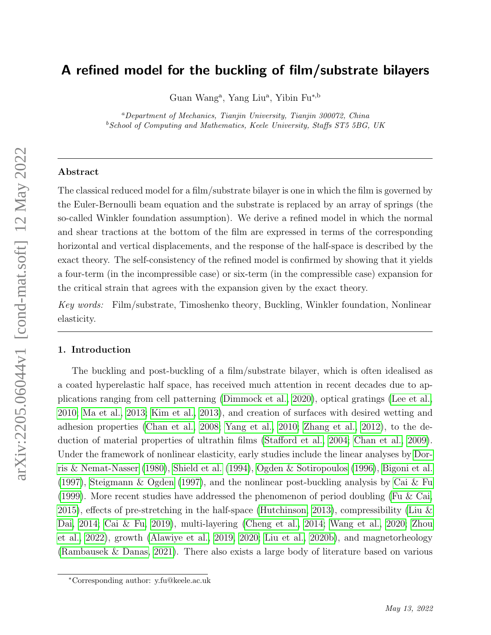# A refined model for the buckling of film/substrate bilayers

Guan Wang<sup>a</sup>, Yang Liu<sup>a</sup>, Yibin Fu<sup>\*,b</sup>

<sup>a</sup>Department of Mechanics, Tianjin University, Tianjin 300072, China  $^{b}$ School of Computing and Mathematics, Keele University, Staffs ST5 5BG, UK

# Abstract

The classical reduced model for a film/substrate bilayer is one in which the film is governed by the Euler-Bernoulli beam equation and the substrate is replaced by an array of springs (the so-called Winkler foundation assumption). We derive a refined model in which the normal and shear tractions at the bottom of the film are expressed in terms of the corresponding horizontal and vertical displacements, and the response of the half-space is described by the exact theory. The self-consistency of the refined model is confirmed by showing that it yields a four-term (in the incompressible case) or six-term (in the compressible case) expansion for the critical strain that agrees with the expansion given by the exact theory.

Key words: Film/substrate, Timoshenko theory, Buckling, Winkler foundation, Nonlinear elasticity.

#### 1. Introduction

The buckling and post-buckling of a film/substrate bilayer, which is often idealised as a coated hyperelastic half space, has received much attention in recent decades due to applications ranging from cell patterning [\(Dimmock et al., 2020\)](#page-20-0), optical gratings [\(Lee et al.,](#page-21-0) [2010;](#page-21-0) [Ma et al., 2013;](#page-22-0) [Kim et al., 2013\)](#page-21-1), and creation of surfaces with desired wetting and adhesion properties [\(Chan et al., 2008;](#page-20-1) [Yang et al., 2010;](#page-23-0) [Zhang et al., 2012\)](#page-23-1), to the deduction of material properties of ultrathin films [\(Stafford et al., 2004;](#page-22-1) [Chan et al., 2009\)](#page-20-2). Under the framework of nonlinear elasticity, early studies include the linear analyses by [Dor](#page-20-3)[ris & Nemat-Nasser](#page-20-3) [\(1980\)](#page-20-3), [Shield et al.](#page-22-2) [\(1994\)](#page-22-2), [Ogden & Sotiropoulos](#page-22-3) [\(1996\)](#page-22-3), [Bigoni et al.](#page-19-0) [\(1997\)](#page-19-0), [Steigmann & Ogden](#page-22-4) [\(1997\)](#page-22-4), and the nonlinear post-buckling analysis by [Cai & Fu](#page-19-1) [\(1999\)](#page-19-1). More recent studies have addressed the phenomenon of period doubling [\(Fu & Cai,](#page-21-2) [2015\)](#page-21-2), effects of pre-stretching in the half-space [\(Hutchinson, 2013\)](#page-21-3), compressibility (Liu  $\&$ [Dai, 2014;](#page-21-4) [Cai & Fu, 2019\)](#page-20-4), multi-layering [\(Cheng et al., 2014;](#page-20-5) [Wang et al., 2020;](#page-23-2) [Zhou](#page-23-3) [et al., 2022\)](#page-23-3), growth [\(Alawiye et al., 2019,](#page-19-2) [2020;](#page-19-3) [Liu et al., 2020b\)](#page-22-5), and magnetorheology [\(Rambausek & Danas, 2021\)](#page-22-6). There also exists a large body of literature based on various

<sup>∗</sup>Corresponding author: y.fu@keele.ac.uk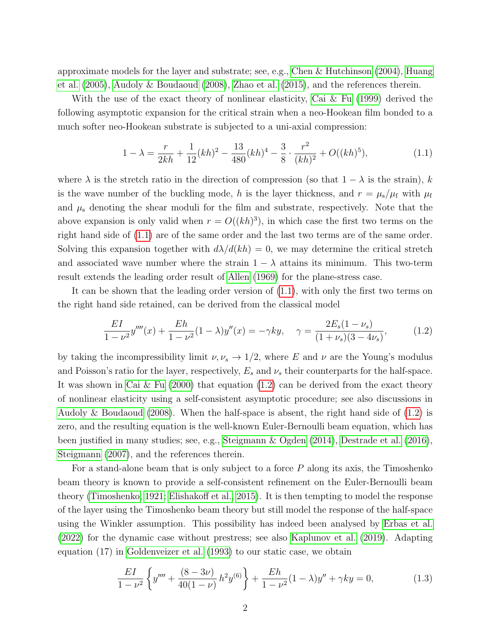approximate models for the layer and substrate; see, e.g., [Chen & Hutchinson](#page-20-6)  $(2004)$ , [Huang](#page-21-5) [et al.](#page-21-5) [\(2005\)](#page-21-5), [Audoly & Boudaoud](#page-19-4) [\(2008\)](#page-19-4), [Zhao et al.](#page-23-4) [\(2015\)](#page-23-4), and the references therein.

With the use of the exact theory of nonlinear elasticity, [Cai & Fu](#page-19-1) [\(1999\)](#page-19-1) derived the following asymptotic expansion for the critical strain when a neo-Hookean film bonded to a much softer neo-Hookean substrate is subjected to a uni-axial compression:

<span id="page-1-0"></span>
$$
1 - \lambda = \frac{r}{2kh} + \frac{1}{12}(kh)^2 - \frac{13}{480}(kh)^4 - \frac{3}{8} \cdot \frac{r^2}{(kh)^2} + O((kh)^5),\tag{1.1}
$$

where  $\lambda$  is the stretch ratio in the direction of compression (so that  $1 - \lambda$  is the strain), k is the wave number of the buckling mode, h is the layer thickness, and  $r = \mu_s/\mu_f$  with  $\mu_f$ and  $\mu$ <sub>s</sub> denoting the shear moduli for the film and substrate, respectively. Note that the above expansion is only valid when  $r = O((kh)^3)$ , in which case the first two terms on the right hand side of [\(1.1\)](#page-1-0) are of the same order and the last two terms are of the same order. Solving this expansion together with  $d\lambda/d(kh) = 0$ , we may determine the critical stretch and associated wave number where the strain  $1 - \lambda$  attains its minimum. This two-term result extends the leading order result of [Allen](#page-19-5) [\(1969\)](#page-19-5) for the plane-stress case.

It can be shown that the leading order version of [\(1.1\)](#page-1-0), with only the first two terms on the right hand side retained, can be derived from the classical model

<span id="page-1-1"></span>
$$
\frac{EI}{1-\nu^2}y''''(x) + \frac{Eh}{1-\nu^2}(1-\lambda)y''(x) = -\gamma ky, \quad \gamma = \frac{2E_s(1-\nu_s)}{(1+\nu_s)(3-4\nu_s)},\tag{1.2}
$$

by taking the incompressibility limit  $\nu, \nu_s \to 1/2$ , where E and  $\nu$  are the Young's modulus and Poisson's ratio for the layer, respectively,  $E_s$  and  $\nu_s$  their counterparts for the half-space. It was shown in [Cai & Fu](#page-19-6) [\(2000\)](#page-19-6) that equation  $(1.2)$  can be derived from the exact theory of nonlinear elasticity using a self-consistent asymptotic procedure; see also discussions in [Audoly & Boudaoud](#page-19-4) [\(2008\)](#page-19-4). When the half-space is absent, the right hand side of  $(1.2)$  is zero, and the resulting equation is the well-known Euler-Bernoulli beam equation, which has been justified in many studies; see, e.g., [Steigmann & Ogden](#page-22-7) [\(2014\)](#page-22-7), [Destrade et al.](#page-20-7) [\(2016\)](#page-20-7), [Steigmann](#page-22-8) [\(2007\)](#page-22-8), and the references therein.

For a stand-alone beam that is only subject to a force  $P$  along its axis, the Timoshenko beam theory is known to provide a self-consistent refinement on the Euler-Bernoulli beam theory [\(Timoshenko, 1921;](#page-23-5) [Elishakoff et al., 2015\)](#page-20-8). It is then tempting to model the response of the layer using the Timoshenko beam theory but still model the response of the half-space using the Winkler assumption. This possibility has indeed been analysed by [Erbas et al.](#page-20-9) [\(2022\)](#page-20-9) for the dynamic case without prestress; see also [Kaplunov et al.](#page-21-6) [\(2019\)](#page-21-6). Adapting equation (17) in [Goldenveizer et al.](#page-21-7) [\(1993\)](#page-21-7) to our static case, we obtain

$$
\frac{EI}{1-\nu^2} \left\{ y'''' + \frac{(8-3\nu)}{40(1-\nu)} h^2 y^{(6)} \right\} + \frac{Eh}{1-\nu^2} (1-\lambda) y'' + \gamma k y = 0, \tag{1.3}
$$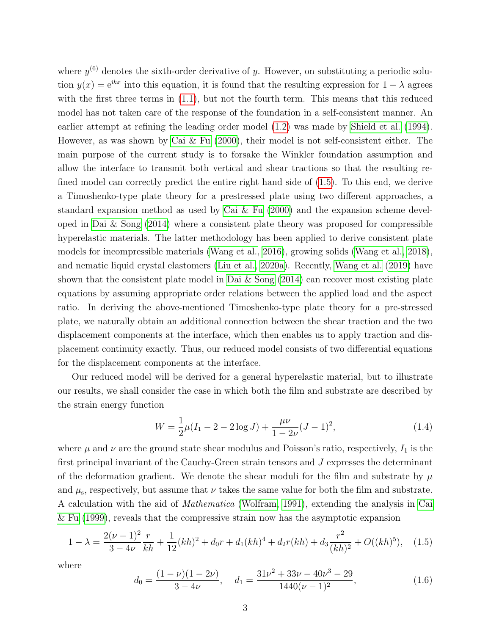where  $y^{(6)}$  denotes the sixth-order derivative of y. However, on substituting a periodic solution  $y(x) = e^{ikx}$  into this equation, it is found that the resulting expression for  $1 - \lambda$  agrees with the first three terms in  $(1.1)$ , but not the fourth term. This means that this reduced model has not taken care of the response of the foundation in a self-consistent manner. An earlier attempt at refining the leading order model [\(1.2\)](#page-1-1) was made by [Shield et al.](#page-22-2) [\(1994\)](#page-22-2). However, as was shown by [Cai & Fu](#page-19-6)  $(2000)$ , their model is not self-consistent either. The main purpose of the current study is to forsake the Winkler foundation assumption and allow the interface to transmit both vertical and shear tractions so that the resulting refined model can correctly predict the entire right hand side of [\(1.5\)](#page-2-0). To this end, we derive a Timoshenko-type plate theory for a prestressed plate using two different approaches, a standard expansion method as used by [Cai & Fu](#page-19-6) [\(2000\)](#page-19-6) and the expansion scheme developed in Dai  $\&$  Song [\(2014\)](#page-20-10) where a consistent plate theory was proposed for compressible hyperelastic materials. The latter methodology has been applied to derive consistent plate models for incompressible materials [\(Wang et al., 2016\)](#page-23-6), growing solids [\(Wang et al., 2018\)](#page-23-7), and nematic liquid crystal elastomers [\(Liu et al., 2020a\)](#page-21-8). Recently, [Wang et al.](#page-23-8) [\(2019\)](#page-23-8) have shown that the consistent plate model in Dai  $\&$  Song [\(2014\)](#page-20-10) can recover most existing plate equations by assuming appropriate order relations between the applied load and the aspect ratio. In deriving the above-mentioned Timoshenko-type plate theory for a pre-stressed plate, we naturally obtain an additional connection between the shear traction and the two displacement components at the interface, which then enables us to apply traction and displacement continuity exactly. Thus, our reduced model consists of two differential equations for the displacement components at the interface.

Our reduced model will be derived for a general hyperelastic material, but to illustrate our results, we shall consider the case in which both the film and substrate are described by the strain energy function

$$
W = \frac{1}{2}\mu(I_1 - 2 - 2\log J) + \frac{\mu\nu}{1 - 2\nu}(J - 1)^2,
$$
\n(1.4)

where  $\mu$  and  $\nu$  are the ground state shear modulus and Poisson's ratio, respectively,  $I_1$  is the first principal invariant of the Cauchy-Green strain tensors and J expresses the determinant of the deformation gradient. We denote the shear moduli for the film and substrate by  $\mu$ and  $\mu_s$ , respectively, but assume that  $\nu$  takes the same value for both the film and substrate. A calculation with the aid of Mathematica [\(Wolfram, 1991\)](#page-23-9), extending the analysis in [Cai](#page-19-1) [& Fu](#page-19-1) [\(1999\)](#page-19-1), reveals that the compressive strain now has the asymptotic expansion

<span id="page-2-0"></span>
$$
1 - \lambda = \frac{2(\nu - 1)^2}{3 - 4\nu} \frac{r}{kh} + \frac{1}{12} (kh)^2 + d_0 r + d_1 (kh)^4 + d_2 r (kh) + d_3 \frac{r^2}{(kh)^2} + O((kh)^5), \quad (1.5)
$$

where

$$
d_0 = \frac{(1 - \nu)(1 - 2\nu)}{3 - 4\nu}, \quad d_1 = \frac{31\nu^2 + 33\nu - 40\nu^3 - 29}{1440(\nu - 1)^2}, \tag{1.6}
$$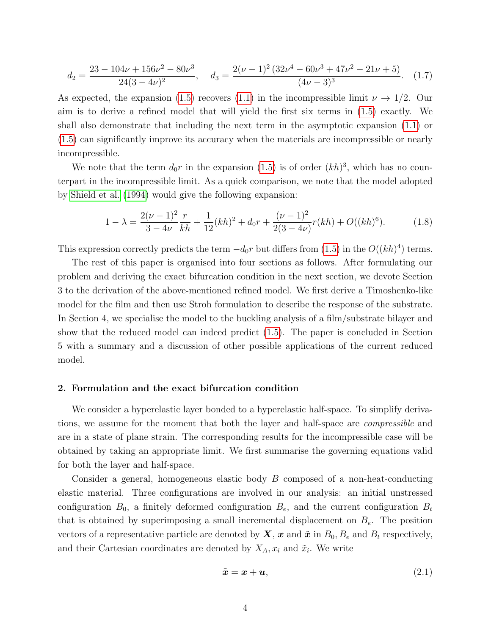$$
d_2 = \frac{23 - 104\nu + 156\nu^2 - 80\nu^3}{24(3 - 4\nu)^2}, \quad d_3 = \frac{2(\nu - 1)^2 (32\nu^4 - 60\nu^3 + 47\nu^2 - 21\nu + 5)}{(4\nu - 3)^3}.
$$
 (1.7)

As expected, the expansion [\(1.5\)](#page-2-0) recovers [\(1.1\)](#page-1-0) in the incompressible limit  $\nu \rightarrow 1/2$ . Our aim is to derive a refined model that will yield the first six terms in [\(1.5\)](#page-2-0) exactly. We shall also demonstrate that including the next term in the asymptotic expansion [\(1.1\)](#page-1-0) or [\(1.5\)](#page-2-0) can significantly improve its accuracy when the materials are incompressible or nearly incompressible.

We note that the term  $d_0r$  in the expansion [\(1.5\)](#page-2-0) is of order  $(kh)^3$ , which has no counterpart in the incompressible limit. As a quick comparison, we note that the model adopted by [Shield et al.](#page-22-2) [\(1994\)](#page-22-2) would give the following expansion:

$$
1 - \lambda = \frac{2(\nu - 1)^2}{3 - 4\nu} \frac{r}{kh} + \frac{1}{12} (kh)^2 + d_0 r + \frac{(\nu - 1)^2}{2(3 - 4\nu)} r(kh) + O((kh)^6).
$$
 (1.8)

This expression correctly predicts the term  $-d_0r$  but differs from [\(1.5\)](#page-2-0) in the  $O((kh)^4)$  terms.

The rest of this paper is organised into four sections as follows. After formulating our problem and deriving the exact bifurcation condition in the next section, we devote Section 3 to the derivation of the above-mentioned refined model. We first derive a Timoshenko-like model for the film and then use Stroh formulation to describe the response of the substrate. In Section 4, we specialise the model to the buckling analysis of a film/substrate bilayer and show that the reduced model can indeed predict [\(1.5\)](#page-2-0). The paper is concluded in Section 5 with a summary and a discussion of other possible applications of the current reduced model.

### 2. Formulation and the exact bifurcation condition

We consider a hyperelastic layer bonded to a hyperelastic half-space. To simplify derivations, we assume for the moment that both the layer and half-space are compressible and are in a state of plane strain. The corresponding results for the incompressible case will be obtained by taking an appropriate limit. We first summarise the governing equations valid for both the layer and half-space.

Consider a general, homogeneous elastic body B composed of a non-heat-conducting elastic material. Three configurations are involved in our analysis: an initial unstressed configuration  $B_0$ , a finitely deformed configuration  $B_e$ , and the current configuration  $B_t$ that is obtained by superimposing a small incremental displacement on  $B<sub>e</sub>$ . The position vectors of a representative particle are denoted by  $\mathbf{X}, \mathbf{x}$  and  $\tilde{\mathbf{x}}$  in  $B_0, B_e$  and  $B_t$  respectively, and their Cartesian coordinates are denoted by  $X_A, x_i$  and  $\tilde{x}_i$ . We write

$$
\tilde{\boldsymbol{x}} = \boldsymbol{x} + \boldsymbol{u},\tag{2.1}
$$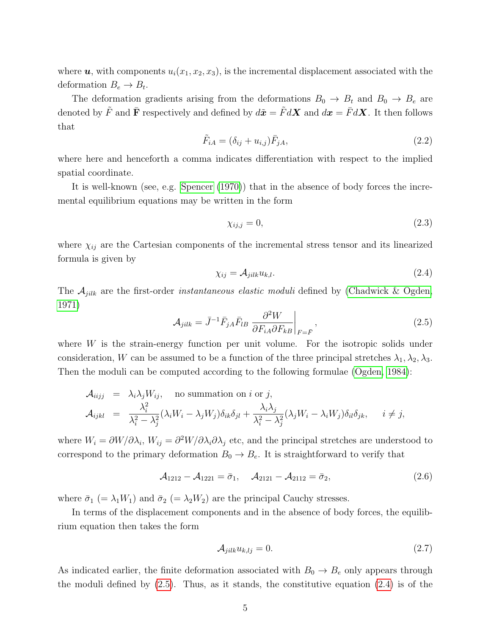where  $u$ , with components  $u_i(x_1, x_2, x_3)$ , is the incremental displacement associated with the deformation  $B_e \to B_t$ .

The deformation gradients arising from the deformations  $B_0 \rightarrow B_t$  and  $B_0 \rightarrow B_e$  are denoted by  $\tilde{F}$  and  $\bar{\mathbf{F}}$  respectively and defined by  $d\tilde{x} = \tilde{F} dX$  and  $dx = \bar{F} dX$ . It then follows that

$$
\tilde{F}_{iA} = (\delta_{ij} + u_{i,j})\bar{F}_{jA},\tag{2.2}
$$

where here and henceforth a comma indicates differentiation with respect to the implied spatial coordinate.

It is well-known (see, e.g. [Spencer](#page-22-9) [\(1970\)](#page-22-9)) that in the absence of body forces the incremental equilibrium equations may be written in the form

$$
\chi_{ij,j} = 0,\tag{2.3}
$$

where  $\chi_{ij}$  are the Cartesian components of the incremental stress tensor and its linearized formula is given by

<span id="page-4-1"></span>
$$
\chi_{ij} = \mathcal{A}_{jilk} u_{k,l}.\tag{2.4}
$$

The  $A_{jilk}$  are the first-order *instantaneous elastic moduli* defined by [\(Chadwick & Ogden,](#page-20-11) [1971\)](#page-20-11)

<span id="page-4-0"></span>
$$
\mathcal{A}_{jilk} = \bar{J}^{-1} \bar{F}_{jA} \bar{F}_{lB} \left. \frac{\partial^2 W}{\partial F_{iA} \partial F_{kB}} \right|_{F = \bar{F}},\tag{2.5}
$$

where  $W$  is the strain-energy function per unit volume. For the isotropic solids under consideration, W can be assumed to be a function of the three principal stretches  $\lambda_1, \lambda_2, \lambda_3$ . Then the moduli can be computed according to the following formulae [\(Ogden, 1984\)](#page-22-10):

<span id="page-4-3"></span>
$$
\mathcal{A}_{iijj} = \lambda_i \lambda_j W_{ij}, \text{ no summation on } i \text{ or } j,
$$
  

$$
\mathcal{A}_{ijkl} = \frac{\lambda_i^2}{\lambda_i^2 - \lambda_j^2} (\lambda_i W_i - \lambda_j W_j) \delta_{ik} \delta_{jl} + \frac{\lambda_i \lambda_j}{\lambda_i^2 - \lambda_j^2} (\lambda_j W_i - \lambda_i W_j) \delta_{il} \delta_{jk}, \quad i \neq j,
$$

where  $W_i = \partial W/\partial \lambda_i$ ,  $W_{ij} = \partial^2 W/\partial \lambda_i \partial \lambda_j$  etc, and the principal stretches are understood to correspond to the primary deformation  $B_0 \to B_e$ . It is straightforward to verify that

$$
\mathcal{A}_{1212} - \mathcal{A}_{1221} = \bar{\sigma}_1, \quad \mathcal{A}_{2121} - \mathcal{A}_{2112} = \bar{\sigma}_2,\tag{2.6}
$$

where  $\bar{\sigma}_1$  (=  $\lambda_1 W_1$ ) and  $\bar{\sigma}_2$  (=  $\lambda_2 W_2$ ) are the principal Cauchy stresses.

In terms of the displacement components and in the absence of body forces, the equilibrium equation then takes the form

<span id="page-4-2"></span>
$$
\mathcal{A}_{jilk}u_{k,lj} = 0. \tag{2.7}
$$

As indicated earlier, the finite deformation associated with  $B_0 \to B_e$  only appears through the moduli defined by [\(2.5\)](#page-4-0). Thus, as it stands, the constitutive equation [\(2.4\)](#page-4-1) is of the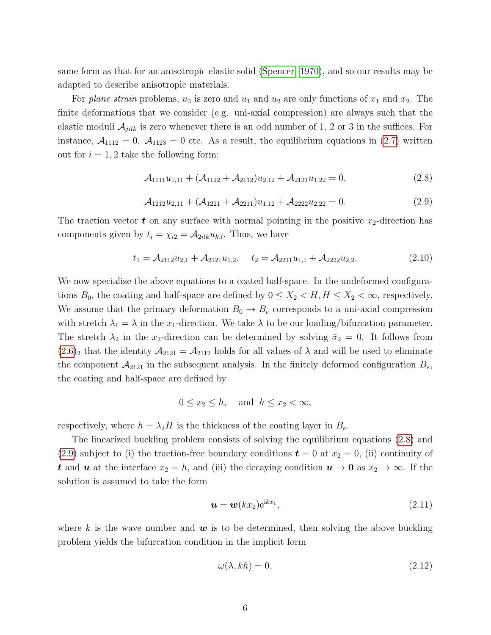same form as that for an anisotropic elastic solid [\(Spencer, 1970\)](#page-22-9), and so our results may be adapted to describe anisotropic materials.

For plane strain problems,  $u_3$  is zero and  $u_1$  and  $u_2$  are only functions of  $x_1$  and  $x_2$ . The finite deformations that we consider (e.g. uni-axial compression) are always such that the elastic moduli  $A_{jilk}$  is zero whenever there is an odd number of 1, 2 or 3 in the suffices. For instance,  $A_{1112} = 0$ ,  $A_{1123} = 0$  etc. As a result, the equilibrium equations in [\(2.7\)](#page-4-2) written out for  $i = 1, 2$  take the following form:

<span id="page-5-0"></span>
$$
\mathcal{A}_{1111}u_{1,11} + (\mathcal{A}_{1122} + \mathcal{A}_{2112})u_{2,12} + \mathcal{A}_{2121}u_{1,22} = 0, \tag{2.8}
$$

<span id="page-5-1"></span>
$$
\mathcal{A}_{1212}u_{2,11} + (\mathcal{A}_{1221} + \mathcal{A}_{2211})u_{1,12} + \mathcal{A}_{2222}u_{2,22} = 0.
$$
 (2.9)

The traction vector  $t$  on any surface with normal pointing in the positive  $x_2$ -direction has components given by  $t_i = \chi_{i2} = A_{2ilk}u_{k,l}$ . Thus, we have

<span id="page-5-3"></span>
$$
t_1 = \mathcal{A}_{2112}u_{2,1} + \mathcal{A}_{2121}u_{1,2}, \quad t_2 = \mathcal{A}_{2211}u_{1,1} + \mathcal{A}_{2222}u_{2,2}.
$$
 (2.10)

We now specialize the above equations to a coated half-space. In the undeformed configurations  $B_0$ , the coating and half-space are defined by  $0 \le X_2 < H, H \le X_2 < \infty$ , respectively. We assume that the primary deformation  $B_0 \to B_e$  corresponds to a uni-axial compression with stretch  $\lambda_1 = \lambda$  in the x<sub>1</sub>-direction. We take  $\lambda$  to be our loading/bifurcation parameter. The stretch  $\lambda_2$  in the x<sub>2</sub>-direction can be determined by solving  $\bar{\sigma}_2 = 0$ . It follows from  $(2.6)_2$  $(2.6)_2$  that the identity  $\mathcal{A}_{2121} = \mathcal{A}_{2112}$  holds for all values of  $\lambda$  and will be used to eliminate the component  $\mathcal{A}_{2121}$  in the subsequent analysis. In the finitely deformed configuration  $B_e$ , the coating and half-space are defined by

$$
0 \le x_2 \le h, \quad \text{and} \ \ h \le x_2 < \infty,
$$

respectively, where  $h = \lambda_2 H$  is the thickness of the coating layer in  $B_e$ .

The linearized buckling problem consists of solving the equilibrium equations [\(2.8\)](#page-5-0) and [\(2.9\)](#page-5-1) subject to (i) the traction-free boundary conditions  $t = 0$  at  $x_2 = 0$ , (ii) continuity of t and u at the interface  $x_2 = h$ , and (iii) the decaying condition  $u \to 0$  as  $x_2 \to \infty$ . If the solution is assumed to take the form

$$
\mathbf{u} = \mathbf{w}(kx_2)e^{ikx_1},\tag{2.11}
$$

where k is the wave number and  $w$  is to be determined, then solving the above buckling problem yields the bifurcation condition in the implicit form

<span id="page-5-2"></span>
$$
\omega(\lambda, kh) = 0,\tag{2.12}
$$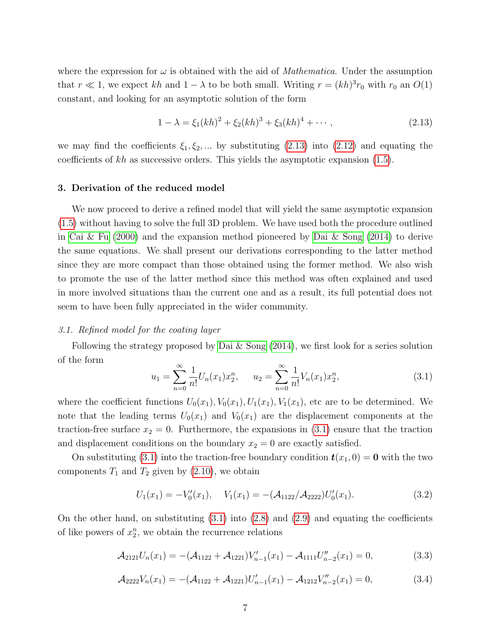where the expression for  $\omega$  is obtained with the aid of *Mathematica*. Under the assumption that  $r \ll 1$ , we expect kh and  $1 - \lambda$  to be both small. Writing  $r = (kh)^3 r_0$  with  $r_0$  an  $O(1)$ constant, and looking for an asymptotic solution of the form

<span id="page-6-0"></span>
$$
1 - \lambda = \xi_1 (kh)^2 + \xi_2 (kh)^3 + \xi_3 (kh)^4 + \cdots, \qquad (2.13)
$$

we may find the coefficients  $\xi_1, \xi_2, \dots$  by substituting [\(2.13\)](#page-6-0) into [\(2.12\)](#page-5-2) and equating the coefficients of  $kh$  as successive orders. This yields the asymptotic expansion  $(1.5)$ .

#### 3. Derivation of the reduced model

We now proceed to derive a refined model that will yield the same asymptotic expansion [\(1.5\)](#page-2-0) without having to solve the full 3D problem. We have used both the procedure outlined in [Cai & Fu](#page-19-6)  $(2000)$  and the expansion method pioneered by [Dai & Song](#page-20-10)  $(2014)$  to derive the same equations. We shall present our derivations corresponding to the latter method since they are more compact than those obtained using the former method. We also wish to promote the use of the latter method since this method was often explained and used in more involved situations than the current one and as a result, its full potential does not seem to have been fully appreciated in the wider community.

### 3.1. Refined model for the coating layer

Following the strategy proposed by Dai  $\&$  Song [\(2014\)](#page-20-10), we first look for a series solution of the form

<span id="page-6-1"></span>
$$
u_1 = \sum_{n=0}^{\infty} \frac{1}{n!} U_n(x_1) x_2^n, \qquad u_2 = \sum_{n=0}^{\infty} \frac{1}{n!} V_n(x_1) x_2^n,
$$
\n(3.1)

where the coefficient functions  $U_0(x_1), V_0(x_1), U_1(x_1), V_1(x_1)$ , etc are to be determined. We note that the leading terms  $U_0(x_1)$  and  $V_0(x_1)$  are the displacement components at the traction-free surface  $x_2 = 0$ . Furthermore, the expansions in [\(3.1\)](#page-6-1) ensure that the traction and displacement conditions on the boundary  $x_2 = 0$  are exactly satisfied.

On substituting [\(3.1\)](#page-6-1) into the traction-free boundary condition  $t(x_1, 0) = 0$  with the two components  $T_1$  and  $T_2$  given by [\(2.10\)](#page-5-3), we obtain

<span id="page-6-2"></span>
$$
U_1(x_1) = -V'_0(x_1), \quad V_1(x_1) = -(\mathcal{A}_{1122}/\mathcal{A}_{2222})U'_0(x_1).
$$
\n(3.2)

On the other hand, on substituting  $(3.1)$  into  $(2.8)$  and  $(2.9)$  and equating the coefficients of like powers of  $x_2^n$ , we obtain the recurrence relations

$$
\mathcal{A}_{2121}U_n(x_1) = -(\mathcal{A}_{1122} + \mathcal{A}_{1221})V'_{n-1}(x_1) - \mathcal{A}_{1111}U''_{n-2}(x_1) = 0, \tag{3.3}
$$

$$
\mathcal{A}_{2222}V_n(x_1) = -(\mathcal{A}_{1122} + \mathcal{A}_{1221})U'_{n-1}(x_1) - \mathcal{A}_{1212}V''_{n-2}(x_1) = 0, \tag{3.4}
$$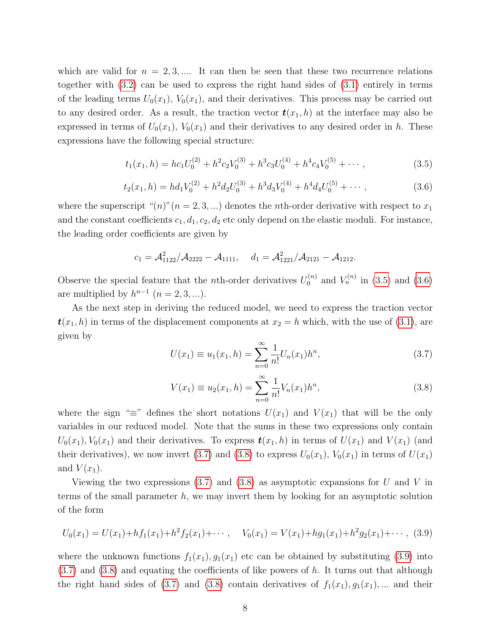which are valid for  $n = 2, 3, \dots$  It can then be seen that these two recurrence relations together with [\(3.2\)](#page-6-2) can be used to express the right hand sides of [\(3.1\)](#page-6-1) entirely in terms of the leading terms  $U_0(x_1)$ ,  $V_0(x_1)$ , and their derivatives. This process may be carried out to any desired order. As a result, the traction vector  $t(x_1, h)$  at the interface may also be expressed in terms of  $U_0(x_1)$ ,  $V_0(x_1)$  and their derivatives to any desired order in h. These expressions have the following special structure:

<span id="page-7-0"></span>
$$
t_1(x_1, h) = hc_1U_0^{(2)} + h^2c_2V_0^{(3)} + h^3c_3U_0^{(4)} + h^4c_4V_0^{(5)} + \cdots,
$$
\n(3.5)

<span id="page-7-1"></span>
$$
t_2(x_1, h) = hd_1V_0^{(2)} + h^2d_2U_0^{(3)} + h^3d_3V_0^{(4)} + h^4d_4U_0^{(5)} + \cdots,
$$
\n(3.6)

where the superscript " $(n)$ " $(n = 2, 3, ...)$  denotes the *n*th-order derivative with respect to  $x_1$ and the constant coefficients  $c_1, d_1, c_2, d_2$  etc only depend on the elastic moduli. For instance, the leading order coefficients are given by

$$
c_1 = \mathcal{A}_{1122}^2 / \mathcal{A}_{2222} - \mathcal{A}_{1111}, \quad d_1 = \mathcal{A}_{1221}^2 / \mathcal{A}_{2121} - \mathcal{A}_{1212}.
$$

Observe the special feature that the *n*th-order derivatives  $U_0^{(n)}$  $V_n^{(n)}$  and  $V_n^{(n)}$  in [\(3.5\)](#page-7-0) and [\(3.6\)](#page-7-1) are multiplied by  $h^{n-1}$   $(n = 2, 3, \ldots).$ 

As the next step in deriving the reduced model, we need to express the traction vector  $t(x_1, h)$  in terms of the displacement components at  $x_2 = h$  which, with the use of [\(3.1\)](#page-6-1), are given by

<span id="page-7-2"></span>
$$
U(x_1) \equiv u_1(x_1, h) = \sum_{n=0}^{\infty} \frac{1}{n!} U_n(x_1) h^n,
$$
\n(3.7)

<span id="page-7-3"></span>
$$
V(x_1) \equiv u_2(x_1, h) = \sum_{n=0}^{\infty} \frac{1}{n!} V_n(x_1) h^n,
$$
\n(3.8)

where the sign "≡" defines the short notations  $U(x_1)$  and  $V(x_1)$  that will be the only variables in our reduced model. Note that the sums in these two expressions only contain  $U_0(x_1), V_0(x_1)$  and their derivatives. To express  $t(x_1, h)$  in terms of  $U(x_1)$  and  $V(x_1)$  (and their derivatives), we now invert [\(3.7\)](#page-7-2) and [\(3.8\)](#page-7-3) to express  $U_0(x_1)$ ,  $V_0(x_1)$  in terms of  $U(x_1)$ and  $V(x_1)$ .

Viewing the two expressions  $(3.7)$  and  $(3.8)$  as asymptotic expansions for U and V in terms of the small parameter h, we may invert them by looking for an asymptotic solution of the form

<span id="page-7-4"></span>
$$
U_0(x_1) = U(x_1) + h f_1(x_1) + h^2 f_2(x_1) + \cdots, \quad V_0(x_1) = V(x_1) + h g_1(x_1) + h^2 g_2(x_1) + \cdots, \tag{3.9}
$$

where the unknown functions  $f_1(x_1), g_1(x_1)$  etc can be obtained by substituting [\(3.9\)](#page-7-4) into  $(3.7)$  and  $(3.8)$  and equating the coefficients of like powers of h. It turns out that although the right hand sides of [\(3.7\)](#page-7-2) and [\(3.8\)](#page-7-3) contain derivatives of  $f_1(x_1), g_1(x_1), \dots$  and their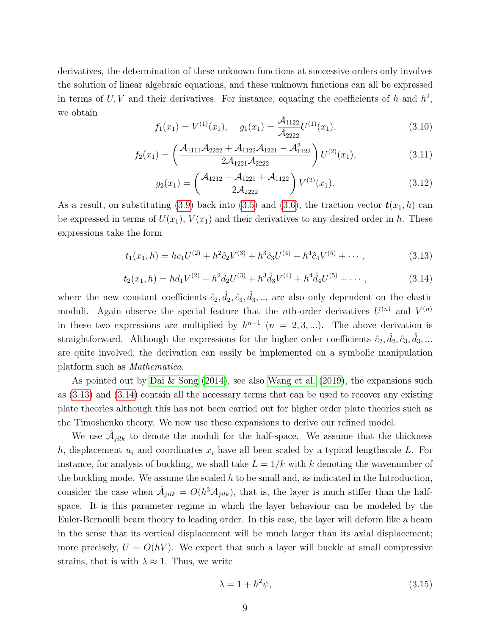derivatives, the determination of these unknown functions at successive orders only involves the solution of linear algebraic equations, and these unknown functions can all be expressed in terms of  $U, V$  and their derivatives. For instance, equating the coefficients of h and  $h^2$ , we obtain

$$
f_1(x_1) = V^{(1)}(x_1), \quad g_1(x_1) = \frac{\mathcal{A}_{1122}}{\mathcal{A}_{2222}} U^{(1)}(x_1), \tag{3.10}
$$

$$
f_2(x_1) = \left(\frac{\mathcal{A}_{1111}\mathcal{A}_{2222} + \mathcal{A}_{1122}\mathcal{A}_{1221} - \mathcal{A}_{1122}^2}{2\mathcal{A}_{1221}\mathcal{A}_{2222}}\right)U^{(2)}(x_1),\tag{3.11}
$$

$$
g_2(x_1) = \left(\frac{\mathcal{A}_{1212} - \mathcal{A}_{1221} + \mathcal{A}_{1122}}{2\mathcal{A}_{2222}}\right) V^{(2)}(x_1).
$$
 (3.12)

As a result, on substituting [\(3.9\)](#page-7-4) back into [\(3.5\)](#page-7-0) and [\(3.6\)](#page-7-1), the traction vector  $t(x_1, h)$  can be expressed in terms of  $U(x_1)$ ,  $V(x_1)$  and their derivatives to any desired order in h. These expressions take the form

<span id="page-8-0"></span>
$$
t_1(x_1, h) = hc_1U^{(2)} + h^2\hat{c}_2V^{(3)} + h^3\hat{c}_3U^{(4)} + h^4\hat{c}_4V^{(5)} + \cdots,
$$
\n(3.13)

<span id="page-8-1"></span>
$$
t_2(x_1, h) = hd_1V^{(2)} + h^2\hat{d}_2U^{(3)} + h^3\hat{d}_3V^{(4)} + h^4\hat{d}_4U^{(5)} + \cdots,
$$
\n(3.14)

where the new constant coefficients  $\hat{c}_2, \hat{d}_2, \hat{c}_3, \hat{d}_3, \dots$  are also only dependent on the elastic moduli. Again observe the special feature that the *n*th-order derivatives  $U^{(n)}$  and  $V^{(n)}$ in these two expressions are multiplied by  $h^{n-1}$   $(n = 2, 3, ...)$ . The above derivation is straightforward. Although the expressions for the higher order coefficients  $\hat{c}_2, \hat{d}_2, \hat{c}_3, \hat{d}_3, ...$ are quite involved, the derivation can easily be implemented on a symbolic manipulation platform such as Mathematica.

As pointed out by [Dai & Song](#page-20-10)  $(2014)$ , see also [Wang et al.](#page-23-8)  $(2019)$ , the expansions such as [\(3.13\)](#page-8-0) and [\(3.14\)](#page-8-1) contain all the necessary terms that can be used to recover any existing plate theories although this has not been carried out for higher order plate theories such as the Timoshenko theory. We now use these expansions to derive our refined model.

We use  $\hat{\mathcal{A}}_{jilk}$  to denote the moduli for the half-space. We assume that the thickness h, displacement  $u_i$  and coordinates  $x_i$  have all been scaled by a typical lengthscale L. For instance, for analysis of buckling, we shall take  $L = 1/k$  with k denoting the wavenumber of the buckling mode. We assume the scaled  $h$  to be small and, as indicated in the Introduction, consider the case when  $\hat{A}_{jilk} = O(h^3 A_{jilk})$ , that is, the layer is much stiffer than the halfspace. It is this parameter regime in which the layer behaviour can be modeled by the Euler-Bernoulli beam theory to leading order. In this case, the layer will deform like a beam in the sense that its vertical displacement will be much larger than its axial displacement; more precisely,  $U = O(hV)$ . We expect that such a layer will buckle at small compressive strains, that is with  $\lambda \approx 1$ . Thus, we write

<span id="page-8-2"></span>
$$
\lambda = 1 + h^2 \psi,\tag{3.15}
$$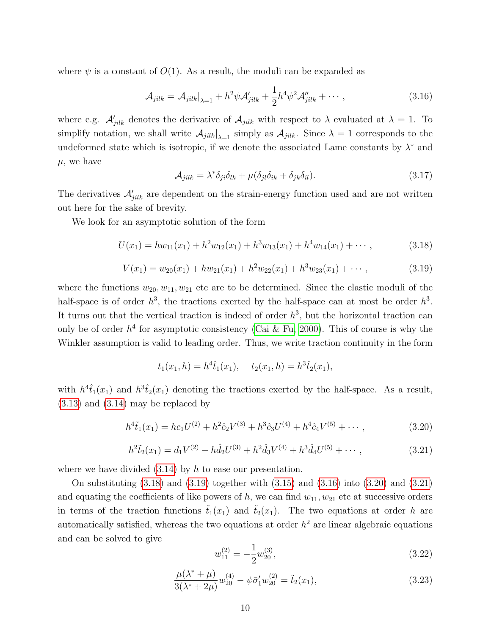where  $\psi$  is a constant of  $O(1)$ . As a result, the moduli can be expanded as

<span id="page-9-2"></span>
$$
\mathcal{A}_{jilk} = \mathcal{A}_{jilk}\big|_{\lambda=1} + h^2 \psi \mathcal{A}'_{jilk} + \frac{1}{2} h^4 \psi^2 \mathcal{A}''_{jilk} + \cdots, \qquad (3.16)
$$

where e.g.  $\mathcal{A}_{jilk}$  denotes the derivative of  $\mathcal{A}_{jilk}$  with respect to  $\lambda$  evaluated at  $\lambda = 1$ . To simplify notation, we shall write  $A_{jilk}|_{\lambda=1}$  simply as  $A_{jilk}$ . Since  $\lambda=1$  corresponds to the undeformed state which is isotropic, if we denote the associated Lame constants by  $\lambda^*$  and  $\mu$ , we have

$$
\mathcal{A}_{jilk} = \lambda^* \delta_{ji} \delta_{lk} + \mu (\delta_{jl} \delta_{ik} + \delta_{jk} \delta_{il}). \tag{3.17}
$$

The derivatives  $\mathcal{A}'_{jilk}$  are dependent on the strain-energy function used and are not written out here for the sake of brevity.

We look for an asymptotic solution of the form

<span id="page-9-0"></span>
$$
U(x_1) = hw_{11}(x_1) + h^2w_{12}(x_1) + h^3w_{13}(x_1) + h^4w_{14}(x_1) + \cdots,
$$
\n(3.18)

<span id="page-9-1"></span>
$$
V(x_1) = w_{20}(x_1) + hw_{21}(x_1) + h^2w_{22}(x_1) + h^3w_{23}(x_1) + \cdots,
$$
\n(3.19)

where the functions  $w_{20}, w_{11}, w_{21}$  etc are to be determined. Since the elastic moduli of the half-space is of order  $h^3$ , the tractions exerted by the half-space can at most be order  $h^3$ . It turns out that the vertical traction is indeed of order  $h^3$ , but the horizontal traction can only be of order  $h^4$  for asymptotic consistency [\(Cai & Fu, 2000\)](#page-19-6). This of course is why the Winkler assumption is valid to leading order. Thus, we write traction continuity in the form

$$
t_1(x_1, h) = h^4 \hat{t}_1(x_1), \quad t_2(x_1, h) = h^3 \hat{t}_2(x_1),
$$

with  $h^4\hat{t}_1(x_1)$  and  $h^3\hat{t}_2(x_1)$  denoting the tractions exerted by the half-space. As a result, [\(3.13\)](#page-8-0) and [\(3.14\)](#page-8-1) may be replaced by

<span id="page-9-3"></span>
$$
h^{4}\tilde{t}_{1}(x_{1}) = hc_{1}U^{(2)} + h^{2}\hat{c}_{2}V^{(3)} + h^{3}\hat{c}_{3}U^{(4)} + h^{4}\hat{c}_{4}V^{(5)} + \cdots,
$$
\n(3.20)

<span id="page-9-4"></span>
$$
h^{2}\tilde{t}_{2}(x_{1}) = d_{1}V^{(2)} + h\hat{d}_{2}U^{(3)} + h^{2}\hat{d}_{3}V^{(4)} + h^{3}\hat{d}_{4}U^{(5)} + \cdots,
$$
\n(3.21)

where we have divided  $(3.14)$  by h to ease our presentation.

On substituting [\(3.18\)](#page-9-0) and [\(3.19\)](#page-9-1) together with [\(3.15\)](#page-8-2) and [\(3.16\)](#page-9-2) into [\(3.20\)](#page-9-3) and [\(3.21\)](#page-9-4) and equating the coefficients of like powers of  $h$ , we can find  $w_{11}$ ,  $w_{21}$  etc at successive orders in terms of the traction functions  $\tilde{t}_1(x_1)$  and  $\tilde{t}_2(x_1)$ . The two equations at order h are automatically satisfied, whereas the two equations at order  $h^2$  are linear algebraic equations and can be solved to give

<span id="page-9-6"></span>
$$
w_{11}^{(2)} = -\frac{1}{2}w_{20}^{(3)},\tag{3.22}
$$

<span id="page-9-5"></span>
$$
\frac{\mu(\lambda^* + \mu)}{3(\lambda^* + 2\mu)} w_{20}^{(4)} - \psi \bar{\sigma}_1' w_{20}^{(2)} = \tilde{t}_2(x_1),
$$
\n(3.23)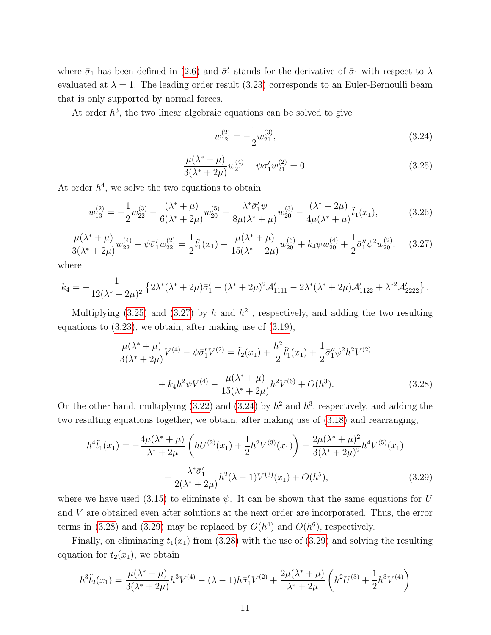where  $\bar{\sigma}_1$  has been defined in [\(2.6\)](#page-4-3) and  $\bar{\sigma}'_1$  stands for the derivative of  $\bar{\sigma}_1$  with respect to  $\lambda$ evaluated at  $\lambda = 1$ . The leading order result [\(3.23\)](#page-9-5) corresponds to an Euler-Bernoulli beam that is only supported by normal forces.

At order  $h^3$ , the two linear algebraic equations can be solved to give

<span id="page-10-2"></span>
$$
w_{12}^{(2)} = -\frac{1}{2}w_{21}^{(3)},\tag{3.24}
$$

<span id="page-10-0"></span>
$$
\frac{\mu(\lambda^* + \mu)}{3(\lambda^* + 2\mu)} w_{21}^{(4)} - \psi \bar{\sigma}_1' w_{21}^{(2)} = 0.
$$
\n(3.25)

At order  $h^4$ , we solve the two equations to obtain

$$
w_{13}^{(2)} = -\frac{1}{2}w_{22}^{(3)} - \frac{(\lambda^* + \mu)}{6(\lambda^* + 2\mu)}w_{20}^{(5)} + \frac{\lambda^* \bar{\sigma}_1' \psi}{8\mu(\lambda^* + \mu)}w_{20}^{(3)} - \frac{(\lambda^* + 2\mu)}{4\mu(\lambda^* + \mu)}\tilde{t}_1(x_1),
$$
(3.26)

<span id="page-10-1"></span>
$$
\frac{\mu(\lambda^* + \mu)}{3(\lambda^* + 2\mu)} w_{22}^{(4)} - \psi \bar{\sigma}_1' w_{22}^{(2)} = \frac{1}{2} \tilde{t}_1'(x_1) - \frac{\mu(\lambda^* + \mu)}{15(\lambda^* + 2\mu)} w_{20}^{(6)} + k_4 \psi w_{20}^{(4)} + \frac{1}{2} \bar{\sigma}_1'' \psi^2 w_{20}^{(2)}, \quad (3.27)
$$

where

$$
k_4 = -\frac{1}{12(\lambda^* + 2\mu)^2} \left\{ 2\lambda^* (\lambda^* + 2\mu) \bar{\sigma}_1' + (\lambda^* + 2\mu)^2 \mathcal{A}_{1111}' - 2\lambda^* (\lambda^* + 2\mu) \mathcal{A}_{1122}' + \lambda^{*2} \mathcal{A}_{2222}' \right\}.
$$

Multiplying [\(3.25\)](#page-10-0) and [\(3.27\)](#page-10-1) by h and  $h^2$ , respectively, and adding the two resulting equations to [\(3.23\)](#page-9-5), we obtain, after making use of [\(3.19\)](#page-9-1),

<span id="page-10-3"></span>
$$
\frac{\mu(\lambda^* + \mu)}{3(\lambda^* + 2\mu)} V^{(4)} - \psi \bar{\sigma}_1' V^{(2)} = \tilde{t}_2(x_1) + \frac{h^2}{2} \tilde{t}_1'(x_1) + \frac{1}{2} \bar{\sigma}_1'' \psi^2 h^2 V^{(2)} + k_4 h^2 \psi V^{(4)} - \frac{\mu(\lambda^* + \mu)}{15(\lambda^* + 2\mu)} h^2 V^{(6)} + O(h^3).
$$
 (3.28)

On the other hand, multiplying  $(3.22)$  and  $(3.24)$  by  $h^2$  and  $h^3$ , respectively, and adding the two resulting equations together, we obtain, after making use of [\(3.18\)](#page-9-0) and rearranging,

<span id="page-10-4"></span>
$$
h^{4}\tilde{t}_{1}(x_{1}) = -\frac{4\mu(\lambda^{*}+\mu)}{\lambda^{*}+2\mu} \left(hU^{(2)}(x_{1}) + \frac{1}{2}h^{2}V^{(3)}(x_{1})\right) - \frac{2\mu(\lambda^{*}+\mu)^{2}}{3(\lambda^{*}+2\mu)^{2}}h^{4}V^{(5)}(x_{1}) + \frac{\lambda^{*}\bar{\sigma}_{1}'}{2(\lambda^{*}+2\mu)}h^{2}(\lambda-1)V^{(3)}(x_{1}) + O(h^{5}),
$$
\n(3.29)

where we have used [\(3.15\)](#page-8-2) to eliminate  $\psi$ . It can be shown that the same equations for U and V are obtained even after solutions at the next order are incorporated. Thus, the error terms in [\(3.28\)](#page-10-3) and [\(3.29\)](#page-10-4) may be replaced by  $O(h^4)$  and  $O(h^6)$ , respectively.

Finally, on eliminating  $\tilde{t}_1(x_1)$  from [\(3.28\)](#page-10-3) with the use of [\(3.29\)](#page-10-4) and solving the resulting equation for  $t_2(x_1)$ , we obtain

$$
h^{3}\tilde{t}_{2}(x_{1}) = \frac{\mu(\lambda^{*} + \mu)}{3(\lambda^{*} + 2\mu)}h^{3}V^{(4)} - (\lambda - 1)h\bar{\sigma}_{1}'V^{(2)} + \frac{2\mu(\lambda^{*} + \mu)}{\lambda^{*} + 2\mu}\left(h^{2}U^{(3)} + \frac{1}{2}h^{3}V^{(4)}\right)
$$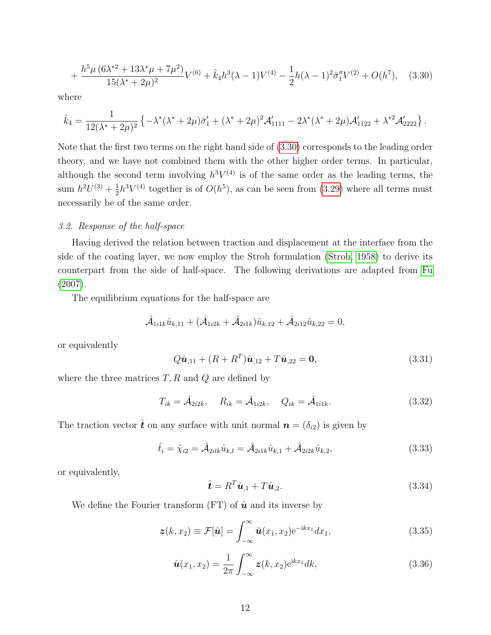<span id="page-11-0"></span>
$$
+\frac{h^5\mu\left(6\lambda^{*2}+13\lambda^*\mu+7\mu^2\right)}{15(\lambda^*+2\mu)^2}V^{(6)}+\hat{k}_4h^3(\lambda-1)V^{(4)}-\frac{1}{2}h(\lambda-1)^2\bar{\sigma}_1''V^{(2)}+O(h^7),\quad(3.30)
$$

where

$$
\hat{k}_4 = \frac{1}{12(\lambda^* + 2\mu)^2} \left\{ -\lambda^* (\lambda^* + 2\mu) \bar{\sigma}_1' + (\lambda^* + 2\mu)^2 \mathcal{A}_{1111}' - 2\lambda^* (\lambda^* + 2\mu) \mathcal{A}_{1122}' + \lambda^{*2} \mathcal{A}_{2222}' \right\}.
$$

Note that the first two terms on the right hand side of [\(3.30\)](#page-11-0) corresponds to the leading order theory, and we have not combined them with the other higher order terms. In particular, although the second term involving  $h^3V^{(4)}$  is of the same order as the leading terms, the sum  $h^2U^{(3)} + \frac{1}{2}$  $\frac{1}{2}h^{3}V^{(4)}$  together is of  $O(h^{5})$ , as can be seen from [\(3.29\)](#page-10-4) where all terms must necessarily be of the same order.

### 3.2. Response of the half-space

Having derived the relation between traction and displacement at the interface from the side of the coating layer, we now employ the Stroh formulation [\(Stroh, 1958\)](#page-22-11) to derive its counterpart from the side of half-space. The following derivations are adapted from [Fu](#page-21-9) [\(2007\)](#page-21-9).

The equilibrium equations for the half-space are

$$
\hat{\mathcal{A}}_{1i1k}\hat{u}_{k,11} + (\hat{\mathcal{A}}_{1i2k} + \hat{\mathcal{A}}_{2i1k})\hat{u}_{k,12} + \hat{\mathcal{A}}_{2i12}\hat{u}_{k,22} = 0,
$$

or equivalently

<span id="page-11-1"></span>
$$
Q\hat{\mathbf{u}}_{,11} + (R + R^T)\hat{\mathbf{u}}_{,12} + T\hat{\mathbf{u}}_{,22} = \mathbf{0},\tag{3.31}
$$

where the three matrices  $T, R$  and  $Q$  are defined by

$$
T_{ik} = \hat{\mathcal{A}}_{2i2k}, \quad R_{ik} = \hat{\mathcal{A}}_{1i2k}, \quad Q_{ik} = \hat{\mathcal{A}}_{1i1k}.
$$
 (3.32)

The traction vector  $\hat{\boldsymbol{t}}$  on any surface with unit normal  $\boldsymbol{n} = (\delta_{i2})$  is given by

$$
\hat{t}_i = \hat{\chi}_{i2} = \hat{\mathcal{A}}_{2ilk}\hat{u}_{k,l} = \hat{\mathcal{A}}_{2i1k}\hat{u}_{k,1} + \hat{\mathcal{A}}_{2i2k}\hat{u}_{k,2},
$$
\n(3.33)

or equivalently,

<span id="page-11-2"></span>
$$
\hat{\boldsymbol{t}} = R^T \hat{\boldsymbol{u}}_{,1} + T \hat{\boldsymbol{u}}_{,2}.
$$
\n(3.34)

We define the Fourier transform (FT) of  $\hat{u}$  and its inverse by

$$
\boldsymbol{z}(k,x_2) \equiv \mathcal{F}[\hat{\boldsymbol{u}}] = \int_{-\infty}^{\infty} \hat{\boldsymbol{u}}(x_1,x_2) e^{-ikx_1} dx_1, \qquad (3.35)
$$

$$
\hat{u}(x_1, x_2) = \frac{1}{2\pi} \int_{-\infty}^{\infty} z(k, x_2) e^{ikx_1} dk,
$$
\n(3.36)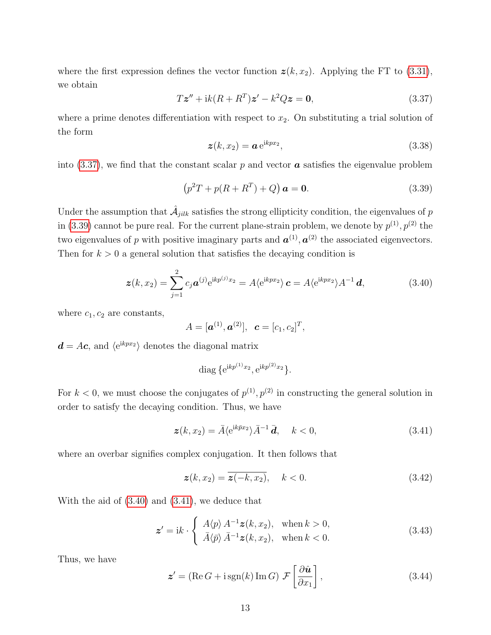where the first expression defines the vector function  $z(k, x_2)$ . Applying the FT to [\(3.31\)](#page-11-1), we obtain

<span id="page-12-0"></span>
$$
T\mathbf{z}'' + ik(R + R^T)\mathbf{z}' - k^2 Q \mathbf{z} = \mathbf{0},\tag{3.37}
$$

where a prime denotes differentiation with respect to  $x_2$ . On substituting a trial solution of the form

$$
\boldsymbol{z}(k,x_2) = \boldsymbol{a} e^{ikpx_2},\tag{3.38}
$$

into  $(3.37)$ , we find that the constant scalar p and vector **a** satisfies the eigenvalue problem

<span id="page-12-1"></span>
$$
(p2T + p(R + RT) + Q) a = 0.
$$
 (3.39)

Under the assumption that  $\hat{A}_{jilk}$  satisfies the strong ellipticity condition, the eigenvalues of  $p$ in [\(3.39\)](#page-12-1) cannot be pure real. For the current plane-strain problem, we denote by  $p^{(1)}$ ,  $p^{(2)}$  the two eigenvalues of p with positive imaginary parts and  $\mathbf{a}^{(1)}$ ,  $\mathbf{a}^{(2)}$  the associated eigenvectors. Then for  $k > 0$  a general solution that satisfies the decaying condition is

<span id="page-12-2"></span>
$$
\boldsymbol{z}(k,x_2) = \sum_{j=1}^2 c_j \boldsymbol{a}^{(j)} e^{ikp^{(j)}x_2} = A \langle e^{ikpx_2} \rangle \boldsymbol{c} = A \langle e^{ikpx_2} \rangle A^{-1} \boldsymbol{d}, \tag{3.40}
$$

where  $c_1, c_2$  are constants,

$$
A=[\mathbf{a}^{(1)},\mathbf{a}^{(2)}], \ \ \mathbf{c}=[c_1,c_2]^T,
$$

 $d = Ac$ , and  $\langle e^{ikpx_2} \rangle$  denotes the diagonal matrix

diag 
$$
\{e^{ikp^{(1)}x_2}, e^{ikp^{(2)}x_2}\}.
$$

For  $k < 0$ , we must choose the conjugates of  $p^{(1)}, p^{(2)}$  in constructing the general solution in order to satisfy the decaying condition. Thus, we have

<span id="page-12-3"></span>
$$
\boldsymbol{z}(k,x_2) = \bar{A} \langle e^{ik\bar{p}x_2} \rangle \bar{A}^{-1} \bar{d}, \quad k < 0,\tag{3.41}
$$

where an overbar signifies complex conjugation. It then follows that

$$
\boldsymbol{z}(k, x_2) = \overline{\boldsymbol{z}(-k, x_2)}, \quad k < 0. \tag{3.42}
$$

With the aid of [\(3.40\)](#page-12-2) and [\(3.41\)](#page-12-3), we deduce that

$$
\mathbf{z}' = \mathrm{i}k \cdot \begin{cases} A\langle p \rangle A^{-1} \mathbf{z}(k, x_2), & \text{when } k > 0, \\ \bar{A}\langle \bar{p} \rangle \bar{A}^{-1} \mathbf{z}(k, x_2), & \text{when } k < 0. \end{cases} \tag{3.43}
$$

Thus, we have

<span id="page-12-4"></span>
$$
\mathbf{z}' = (\text{Re } G + i \, \text{sgn}(k) \, \text{Im } G) \, \mathcal{F}\left[\frac{\partial \hat{\mathbf{u}}}{\partial x_1}\right],\tag{3.44}
$$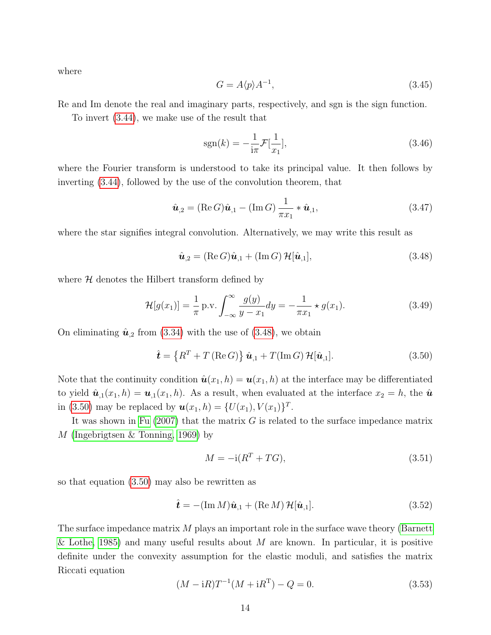where

$$
G = A \langle p \rangle A^{-1},\tag{3.45}
$$

Re and Im denote the real and imaginary parts, respectively, and sgn is the sign function.

To invert [\(3.44\)](#page-12-4), we make use of the result that

$$
sgn(k) = -\frac{1}{i\pi} \mathcal{F}[\frac{1}{x_1}],
$$
\n(3.46)

where the Fourier transform is understood to take its principal value. It then follows by inverting [\(3.44\)](#page-12-4), followed by the use of the convolution theorem, that

$$
\hat{\boldsymbol{u}}_{,2} = (\operatorname{Re} G)\hat{\boldsymbol{u}}_{,1} - (\operatorname{Im} G)\frac{1}{\pi x_1} * \hat{\boldsymbol{u}}_{,1},\tag{3.47}
$$

where the star signifies integral convolution. Alternatively, we may write this result as

<span id="page-13-0"></span>
$$
\hat{\boldsymbol{u}}_{,2} = (\text{Re}\,G)\hat{\boldsymbol{u}}_{,1} + (\text{Im}\,G)\,\mathcal{H}[\hat{\boldsymbol{u}}_{,1}],\tag{3.48}
$$

where  $H$  denotes the Hilbert transform defined by

$$
\mathcal{H}[g(x_1)] = \frac{1}{\pi} \text{ p.v.} \int_{-\infty}^{\infty} \frac{g(y)}{y - x_1} dy = -\frac{1}{\pi x_1} \star g(x_1).
$$
 (3.49)

On eliminating  $\hat{u}_{,2}$  from [\(3.34\)](#page-11-2) with the use of [\(3.48\)](#page-13-0), we obtain

<span id="page-13-1"></span>
$$
\hat{\boldsymbol{t}} = \left\{ R^T + T\left( \text{Re}\,G \right) \right\} \hat{\boldsymbol{u}}_{,1} + T(\text{Im}\,G) \, \mathcal{H}[\hat{\boldsymbol{u}}_{,1}]. \tag{3.50}
$$

Note that the continuity condition  $\hat{\mathbf{u}}(x_1, h) = \mathbf{u}(x_1, h)$  at the interface may be differentiated to yield  $\hat{\mathbf{u}}_{,1}(x_1, h) = \mathbf{u}_{,1}(x_1, h)$ . As a result, when evaluated at the interface  $x_2 = h$ , the  $\hat{\mathbf{u}}$ in [\(3.50\)](#page-13-1) may be replaced by  $u(x_1, h) = \{U(x_1), V(x_1)\}^T$ .

It was shown in [Fu](#page-21-9)  $(2007)$  that the matrix G is related to the surface impedance matrix M [\(Ingebrigtsen & Tonning, 1969\)](#page-21-10) by

$$
M = -\mathrm{i}(R^T + TG),\tag{3.51}
$$

so that equation [\(3.50\)](#page-13-1) may also be rewritten as

<span id="page-13-3"></span>
$$
\hat{\boldsymbol{t}} = -(\operatorname{Im} M)\hat{\boldsymbol{u}}_{,1} + (\operatorname{Re} M) \mathcal{H}[\hat{\boldsymbol{u}}_{,1}]. \tag{3.52}
$$

The surface impedance matrix M plays an important role in the surface wave theory [\(Barnett](#page-19-7) [& Lothe, 1985\)](#page-19-7) and many useful results about M are known. In particular, it is positive definite under the convexity assumption for the elastic moduli, and satisfies the matrix Riccati equation

<span id="page-13-2"></span>
$$
(M - iR)T^{-1}(M + iR^{T}) - Q = 0.
$$
\n(3.53)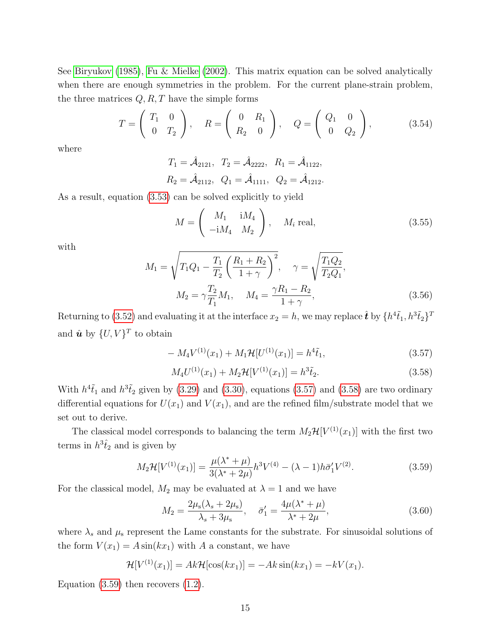See [Biryukov](#page-19-8) [\(1985\)](#page-19-8), [Fu & Mielke](#page-21-11) [\(2002\)](#page-21-11). This matrix equation can be solved analytically when there are enough symmetries in the problem. For the current plane-strain problem, the three matrices  $Q, R, T$  have the simple forms

$$
T = \begin{pmatrix} T_1 & 0 \\ 0 & T_2 \end{pmatrix}, \quad R = \begin{pmatrix} 0 & R_1 \\ R_2 & 0 \end{pmatrix}, \quad Q = \begin{pmatrix} Q_1 & 0 \\ 0 & Q_2 \end{pmatrix}, \quad (3.54)
$$

where

$$
T_1 = \hat{A}_{2121}, T_2 = \hat{A}_{2222}, R_1 = \hat{A}_{1122},
$$
  
\n $R_2 = \hat{A}_{2112}, Q_1 = \hat{A}_{1111}, Q_2 = \hat{A}_{1212}.$ 

As a result, equation [\(3.53\)](#page-13-2) can be solved explicitly to yield

$$
M = \begin{pmatrix} M_1 & iM_4 \\ -iM_4 & M_2 \end{pmatrix}, \quad M_i \text{ real}, \tag{3.55}
$$

with

$$
M_1 = \sqrt{T_1 Q_1 - \frac{T_1}{T_2} \left(\frac{R_1 + R_2}{1 + \gamma}\right)^2}, \quad \gamma = \sqrt{\frac{T_1 Q_2}{T_2 Q_1}},
$$

$$
M_2 = \gamma \frac{T_2}{T_1} M_1, \quad M_4 = \frac{\gamma R_1 - R_2}{1 + \gamma},
$$
(3.56)

Returning to [\(3.52\)](#page-13-3) and evaluating it at the interface  $x_2 = h$ , we may replace  $\hat{\bm{t}}$  by  $\{h^4 \tilde{t}_1, h^3 \tilde{t}_2\}^T$ and  $\hat{\boldsymbol{u}}$  by  $\{U, V\}^T$  to obtain

<span id="page-14-0"></span>
$$
-M_4V^{(1)}(x_1) + M_1\mathcal{H}[U^{(1)}(x_1)] = h^4\tilde{t}_1,
$$
\n(3.57)

<span id="page-14-1"></span>
$$
M_4 U^{(1)}(x_1) + M_2 \mathcal{H}[V^{(1)}(x_1)] = h^3 \tilde{t}_2.
$$
\n(3.58)

With  $h^4\tilde{t}_1$  and  $h^3\tilde{t}_2$  given by [\(3.29\)](#page-10-4) and [\(3.30\)](#page-11-0), equations [\(3.57\)](#page-14-0) and [\(3.58\)](#page-14-1) are two ordinary differential equations for  $U(x_1)$  and  $V(x_1)$ , and are the refined film/substrate model that we set out to derive.

The classical model corresponds to balancing the term  $M_2\mathcal{H}[V^{(1)}(x_1)]$  with the first two terms in  $h^3\hat{t}_2$  and is given by

<span id="page-14-2"></span>
$$
M_2\mathcal{H}[V^{(1)}(x_1)] = \frac{\mu(\lambda^* + \mu)}{3(\lambda^* + 2\mu)}h^3V^{(4)} - (\lambda - 1)h\bar{\sigma}_1'V^{(2)}.
$$
 (3.59)

For the classical model,  $M_2$  may be evaluated at  $\lambda = 1$  and we have

$$
M_2 = \frac{2\mu_s(\lambda_s + 2\mu_s)}{\lambda_s + 3\mu_s}, \quad \bar{\sigma}_1' = \frac{4\mu(\lambda^* + \mu)}{\lambda^* + 2\mu},
$$
\n(3.60)

where  $\lambda_s$  and  $\mu_s$  represent the Lame constants for the substrate. For sinusoidal solutions of the form  $V(x_1) = A \sin(kx_1)$  with A a constant, we have

$$
\mathcal{H}[V^{(1)}(x_1)] = Ak\mathcal{H}[\cos(kx_1)] = -Ak\sin(kx_1) = -kV(x_1).
$$

Equation  $(3.59)$  then recovers  $(1.2)$ .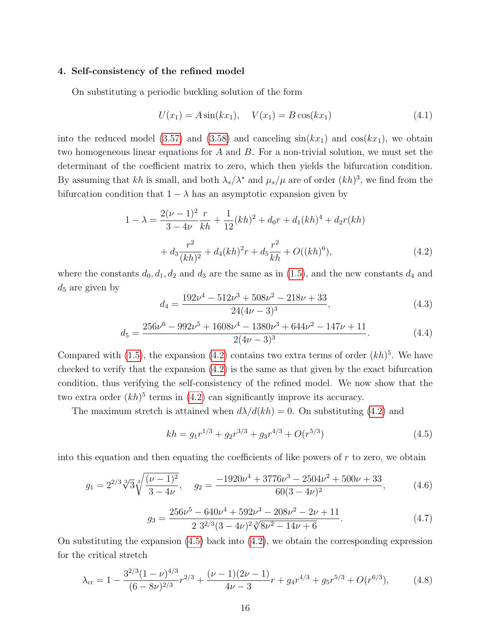#### 4. Self-consistency of the refined model

On substituting a periodic buckling solution of the form

$$
U(x_1) = A\sin(kx_1), \quad V(x_1) = B\cos(kx_1)
$$
\n(4.1)

into the reduced model [\(3.57\)](#page-14-0) and [\(3.58\)](#page-14-1) and canceling  $sin(kx_1)$  and  $cos(kx_1)$ , we obtain two homogeneous linear equations for A and B. For a non-trivial solution, we must set the determinant of the coefficient matrix to zero, which then yields the bifurcation condition. By assuming that kh is small, and both  $\lambda_s/\lambda^*$  and  $\mu_s/\mu$  are of order  $(kh)^3$ , we find from the bifurcation condition that  $1 - \lambda$  has an asymptotic expansion given by

<span id="page-15-0"></span>
$$
1 - \lambda = \frac{2(\nu - 1)^2}{3 - 4\nu} \frac{r}{kh} + \frac{1}{12} (kh)^2 + d_0 r + d_1 (kh)^4 + d_2 r(kh) + d_3 \frac{r^2}{(kh)^2} + d_4 (kh)^2 r + d_5 \frac{r^2}{kh} + O((kh)^6),
$$
(4.2)

where the constants  $d_0, d_1, d_2$  and  $d_3$  are the same as in [\(1.5\)](#page-2-0), and the new constants  $d_4$  and  $d_5$  are given by

$$
d_4 = \frac{192\nu^4 - 512\nu^3 + 508\nu^2 - 218\nu + 33}{24(\nu - 3)^3},
$$
\n(4.3)

$$
d_5 = \frac{256\nu^6 - 992\nu^5 + 1608\nu^4 - 1380\nu^3 + 644\nu^2 - 147\nu + 11}{2(4\nu - 3)^3}.
$$
 (4.4)

Compared with  $(1.5)$ , the expansion  $(4.2)$  contains two extra terms of order  $(kh)^5$ . We have checked to verify that the expansion  $(4.2)$  is the same as that given by the exact bifurcation condition, thus verifying the self-consistency of the refined model. We now show that the two extra order  $(kh)^5$  terms in  $(4.2)$  can significantly improve its accuracy.

The maximum stretch is attained when  $d\lambda/d(kh) = 0$ . On substituting [\(4.2\)](#page-15-0) and

<span id="page-15-1"></span>
$$
kh = g_1 r^{1/3} + g_2 r^{3/3} + g_3 r^{4/3} + O(r^{5/3})
$$
\n(4.5)

into this equation and then equating the coefficients of like powers of  $r$  to zero, we obtain

<span id="page-15-2"></span>
$$
g_1 = 2^{2/3} \sqrt[3]{3} \sqrt[3]{\frac{(\nu - 1)^2}{3 - 4\nu}}, \quad g_2 = \frac{-1920\nu^4 + 3776\nu^3 - 2504\nu^2 + 500\nu + 33}{60(3 - 4\nu)^2}, \tag{4.6}
$$

$$
g_3 = \frac{256\nu^5 - 640\nu^4 + 592\nu^3 - 208\nu^2 - 2\nu + 11}{2 \ 3^{2/3}(3 - 4\nu)^2 \sqrt[3]{8\nu^2 - 14\nu + 6}}.
$$
\n(4.7)

On substituting the expansion  $(4.5)$  back into  $(4.2)$ , we obtain the corresponding expression for the critical stretch

<span id="page-15-3"></span>
$$
\lambda_{\rm cr} = 1 - \frac{3^{2/3} (1 - \nu)^{4/3}}{(6 - 8\nu)^{2/3}} r^{2/3} + \frac{(\nu - 1)(2\nu - 1)}{4\nu - 3} r + g_4 r^{4/3} + g_5 r^{5/3} + O(r^{6/3}),\tag{4.8}
$$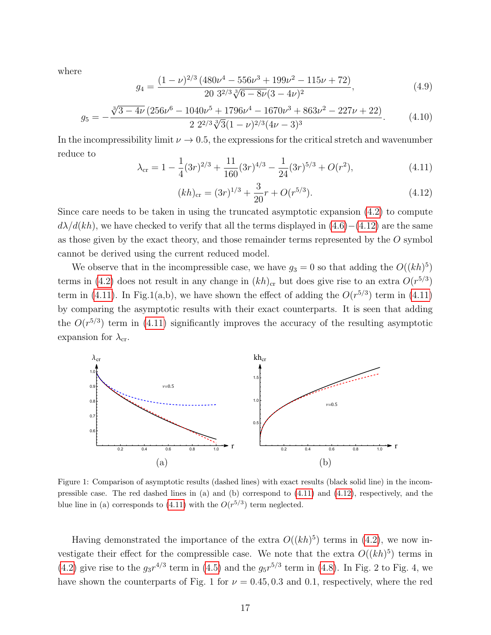where

$$
g_4 = \frac{(1 - \nu)^{2/3} (480\nu^4 - 556\nu^3 + 199\nu^2 - 115\nu + 72)}{20 \ 3^{2/3} \sqrt[3]{6 - 8\nu} (3 - 4\nu)^2},\tag{4.9}
$$

$$
g_5 = -\frac{\sqrt[3]{3 - 4\nu} \left(256\nu^6 - 1040\nu^5 + 1796\nu^4 - 1670\nu^3 + 863\nu^2 - 227\nu + 22\right)}{2 \ 2^{2/3}\sqrt[3]{3}(1 - \nu)^{2/3}(4\nu - 3)^3}.
$$
 (4.10)

In the incompressibility limit  $\nu \rightarrow 0.5$ , the expressions for the critical stretch and wavenumber reduce to

<span id="page-16-1"></span>
$$
\lambda_{\rm cr} = 1 - \frac{1}{4} (3r)^{2/3} + \frac{11}{160} (3r)^{4/3} - \frac{1}{24} (3r)^{5/3} + O(r^2),\tag{4.11}
$$

<span id="page-16-0"></span>
$$
(kh)_{\rm cr} = (3r)^{1/3} + \frac{3}{20}r + O(r^{5/3}).
$$
\n(4.12)

Since care needs to be taken in using the truncated asymptotic expansion [\(4.2\)](#page-15-0) to compute  $d\lambda/d(kh)$ , we have checked to verify that all the terms displayed in  $(4.6)-(4.12)$  $(4.6)-(4.12)$  $(4.6)-(4.12)$  are the same as those given by the exact theory, and those remainder terms represented by the O symbol cannot be derived using the current reduced model.

We observe that in the incompressible case, we have  $g_3 = 0$  so that adding the  $O((kh)^5)$ terms in [\(4.2\)](#page-15-0) does not result in any change in  $(kh)_{cr}$  but does give rise to an extra  $O(r^{5/3})$ term in [\(4.11\)](#page-16-1). In Fig.1(a,b), we have shown the effect of adding the  $O(r^{5/3})$  term in (4.11) by comparing the asymptotic results with their exact counterparts. It is seen that adding the  $O(r^{5/3})$  term in [\(4.11\)](#page-16-1) significantly improves the accuracy of the resulting asymptotic expansion for  $\lambda_{\rm cr}$ .



Figure 1: Comparison of asymptotic results (dashed lines) with exact results (black solid line) in the incompressible case. The red dashed lines in (a) and (b) correspond to [\(4.11\)](#page-16-1) and [\(4.12\)](#page-16-0), respectively, and the blue line in (a) corresponds to [\(4.11\)](#page-16-1) with the  $O(r^{5/3})$  term neglected.

Having demonstrated the importance of the extra  $O((kh)^5)$  terms in [\(4.2\)](#page-15-0), we now investigate their effect for the compressible case. We note that the extra  $O((kh)^5)$  terms in [\(4.2\)](#page-15-0) give rise to the  $g_3r^{4/3}$  term in [\(4.5\)](#page-15-1) and the  $g_5r^{5/3}$  term in [\(4.8\)](#page-15-3). In Fig. 2 to Fig. 4, we have shown the counterparts of Fig. 1 for  $\nu = 0.45, 0.3$  and 0.1, respectively, where the red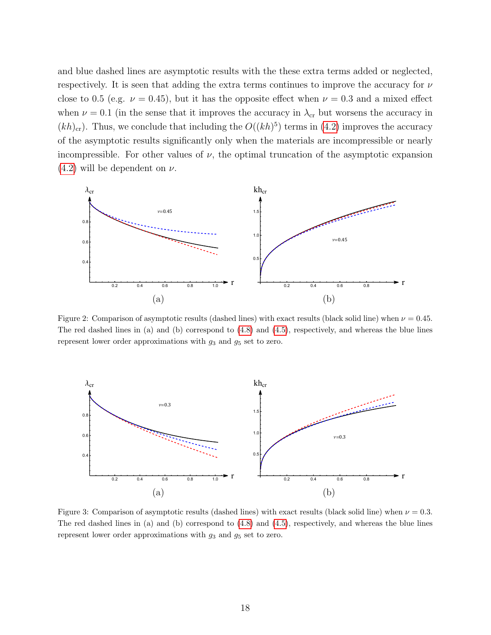and blue dashed lines are asymptotic results with the these extra terms added or neglected, respectively. It is seen that adding the extra terms continues to improve the accuracy for  $\nu$ close to 0.5 (e.g.  $\nu = 0.45$ ), but it has the opposite effect when  $\nu = 0.3$  and a mixed effect when  $\nu = 0.1$  (in the sense that it improves the accuracy in  $\lambda_{cr}$  but worsens the accuracy in  $(kh)_{\text{cr}}$ ). Thus, we conclude that including the  $O((kh)^5)$  terms in [\(4.2\)](#page-15-0) improves the accuracy of the asymptotic results significantly only when the materials are incompressible or nearly incompressible. For other values of  $\nu$ , the optimal truncation of the asymptotic expansion  $(4.2)$  will be dependent on  $\nu$ .



Figure 2: Comparison of asymptotic results (dashed lines) with exact results (black solid line) when  $\nu = 0.45$ . The red dashed lines in (a) and (b) correspond to [\(4.8\)](#page-15-3) and [\(4.5\)](#page-15-1), respectively, and whereas the blue lines represent lower order approximations with  $g_3$  and  $g_5$  set to zero.



Figure 3: Comparison of asymptotic results (dashed lines) with exact results (black solid line) when  $\nu = 0.3$ . The red dashed lines in (a) and (b) correspond to [\(4.8\)](#page-15-3) and [\(4.5\)](#page-15-1), respectively, and whereas the blue lines represent lower order approximations with  $g_3$  and  $g_5$  set to zero.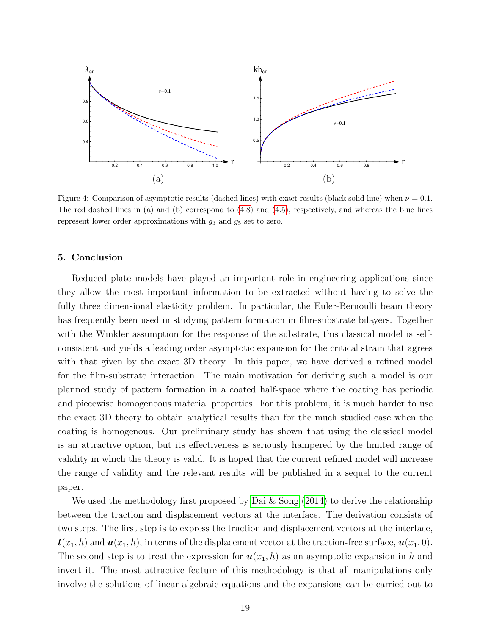

Figure 4: Comparison of asymptotic results (dashed lines) with exact results (black solid line) when  $\nu = 0.1$ . The red dashed lines in (a) and (b) correspond to [\(4.8\)](#page-15-3) and [\(4.5\)](#page-15-1), respectively, and whereas the blue lines represent lower order approximations with  $g_3$  and  $g_5$  set to zero.

# 5. Conclusion

Reduced plate models have played an important role in engineering applications since they allow the most important information to be extracted without having to solve the fully three dimensional elasticity problem. In particular, the Euler-Bernoulli beam theory has frequently been used in studying pattern formation in film-substrate bilayers. Together with the Winkler assumption for the response of the substrate, this classical model is selfconsistent and yields a leading order asymptotic expansion for the critical strain that agrees with that given by the exact 3D theory. In this paper, we have derived a refined model for the film-substrate interaction. The main motivation for deriving such a model is our planned study of pattern formation in a coated half-space where the coating has periodic and piecewise homogeneous material properties. For this problem, it is much harder to use the exact 3D theory to obtain analytical results than for the much studied case when the coating is homogenous. Our preliminary study has shown that using the classical model is an attractive option, but its effectiveness is seriously hampered by the limited range of validity in which the theory is valid. It is hoped that the current refined model will increase the range of validity and the relevant results will be published in a sequel to the current paper.

We used the methodology first proposed by [Dai & Song](#page-20-10) [\(2014\)](#page-20-10) to derive the relationship between the traction and displacement vectors at the interface. The derivation consists of two steps. The first step is to express the traction and displacement vectors at the interface,  $\mathbf{t}(x_1, h)$  and  $\mathbf{u}(x_1, h)$ , in terms of the displacement vector at the traction-free surface,  $\mathbf{u}(x_1, 0)$ . The second step is to treat the expression for  $u(x_1, h)$  as an asymptotic expansion in h and invert it. The most attractive feature of this methodology is that all manipulations only involve the solutions of linear algebraic equations and the expansions can be carried out to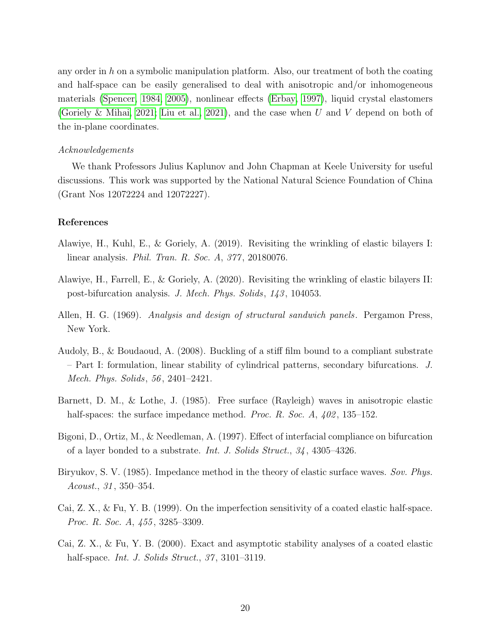any order in  $h$  on a symbolic manipulation platform. Also, our treatment of both the coating and half-space can be easily generalised to deal with anisotropic and/or inhomogeneous materials [\(Spencer, 1984,](#page-22-12) [2005\)](#page-22-13), nonlinear effects [\(Erbay, 1997\)](#page-20-12), liquid crystal elastomers [\(Goriely & Mihai, 2021;](#page-21-12) [Liu et al., 2021\)](#page-21-13), and the case when U and V depend on both of the in-plane coordinates.

## Acknowledgements

We thank Professors Julius Kaplunov and John Chapman at Keele University for useful discussions. This work was supported by the National Natural Science Foundation of China (Grant Nos 12072224 and 12072227).

## References

- <span id="page-19-2"></span>Alawiye, H., Kuhl, E., & Goriely, A. (2019). Revisiting the wrinkling of elastic bilayers I: linear analysis. Phil. Tran. R. Soc. A, 377 , 20180076.
- <span id="page-19-3"></span>Alawiye, H., Farrell, E., & Goriely, A. (2020). Revisiting the wrinkling of elastic bilayers II: post-bifurcation analysis. J. Mech. Phys. Solids, 143 , 104053.
- <span id="page-19-5"></span>Allen, H. G. (1969). Analysis and design of structural sandwich panels. Pergamon Press, New York.
- <span id="page-19-4"></span>Audoly, B., & Boudaoud, A. (2008). Buckling of a stiff film bound to a compliant substrate – Part I: formulation, linear stability of cylindrical patterns, secondary bifurcations. J. Mech. Phys. Solids, 56 , 2401–2421.
- <span id="page-19-7"></span>Barnett, D. M., & Lothe, J. (1985). Free surface (Rayleigh) waves in anisotropic elastic half-spaces: the surface impedance method. *Proc. R. Soc. A, 402,* 135–152.
- <span id="page-19-0"></span>Bigoni, D., Ortiz, M., & Needleman, A. (1997). Effect of interfacial compliance on bifurcation of a layer bonded to a substrate. Int. J. Solids Struct., 34 , 4305–4326.
- <span id="page-19-8"></span>Biryukov, S. V. (1985). Impedance method in the theory of elastic surface waves. Sov. Phys. Acoust., 31 , 350–354.
- <span id="page-19-1"></span>Cai, Z. X., & Fu, Y. B. (1999). On the imperfection sensitivity of a coated elastic half-space. Proc. R. Soc. A, 455, 3285–3309.
- <span id="page-19-6"></span>Cai, Z. X., & Fu, Y. B. (2000). Exact and asymptotic stability analyses of a coated elastic half-space. *Int. J. Solids Struct.*, 37, 3101–3119.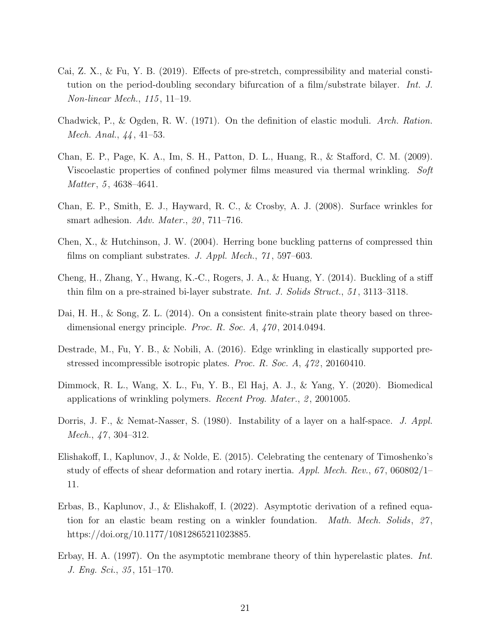- <span id="page-20-4"></span>Cai, Z. X., & Fu, Y. B. (2019). Effects of pre-stretch, compressibility and material constitution on the period-doubling secondary bifurcation of a film/substrate bilayer. Int. J. Non-linear Mech., 115 , 11–19.
- <span id="page-20-11"></span>Chadwick, P., & Ogden, R. W. (1971). On the definition of elastic moduli. Arch. Ration. Mech. Anal., 44, 41–53.
- <span id="page-20-2"></span>Chan, E. P., Page, K. A., Im, S. H., Patton, D. L., Huang, R., & Stafford, C. M. (2009). Viscoelastic properties of confined polymer films measured via thermal wrinkling. Soft  $Matter, 5, 4638–4641.$
- <span id="page-20-1"></span>Chan, E. P., Smith, E. J., Hayward, R. C., & Crosby, A. J. (2008). Surface wrinkles for smart adhesion. Adv. Mater.,  $20$ , 711–716.
- <span id="page-20-6"></span>Chen, X., & Hutchinson, J. W. (2004). Herring bone buckling patterns of compressed thin films on compliant substrates. J. Appl. Mech., 71, 597–603.
- <span id="page-20-5"></span>Cheng, H., Zhang, Y., Hwang, K.-C., Rogers, J. A., & Huang, Y. (2014). Buckling of a stiff thin film on a pre-strained bi-layer substrate. Int. J. Solids Struct., 51, 3113–3118.
- <span id="page-20-10"></span>Dai, H. H., & Song, Z. L. (2014). On a consistent finite-strain plate theory based on threedimensional energy principle. Proc. R. Soc. A, 470, 2014.0494.
- <span id="page-20-7"></span>Destrade, M., Fu, Y. B., & Nobili, A. (2016). Edge wrinkling in elastically supported prestressed incompressible isotropic plates. Proc. R. Soc. A, 472, 20160410.
- <span id="page-20-0"></span>Dimmock, R. L., Wang, X. L., Fu, Y. B., El Haj, A. J., & Yang, Y. (2020). Biomedical applications of wrinkling polymers. *Recent Prog. Mater.*,  $\mathcal{Q}$ , 2001005.
- <span id="page-20-3"></span>Dorris, J. F., & Nemat-Nasser, S. (1980). Instability of a layer on a half-space. J. Appl. Mech., 47, 304–312.
- <span id="page-20-8"></span>Elishakoff, I., Kaplunov, J., & Nolde, E. (2015). Celebrating the centenary of Timoshenko's study of effects of shear deformation and rotary inertia. Appl. Mech. Rev.,  $67$ ,  $060802/1$ 11.
- <span id="page-20-9"></span>Erbas, B., Kaplunov, J., & Elishakoff, I. (2022). Asymptotic derivation of a refined equation for an elastic beam resting on a winkler foundation. *Math. Mech. Solids*, 27, https://doi.org/10.1177/10812865211023885.
- <span id="page-20-12"></span>Erbay, H. A. (1997). On the asymptotic membrane theory of thin hyperelastic plates. Int. J. Eng. Sci., 35 , 151–170.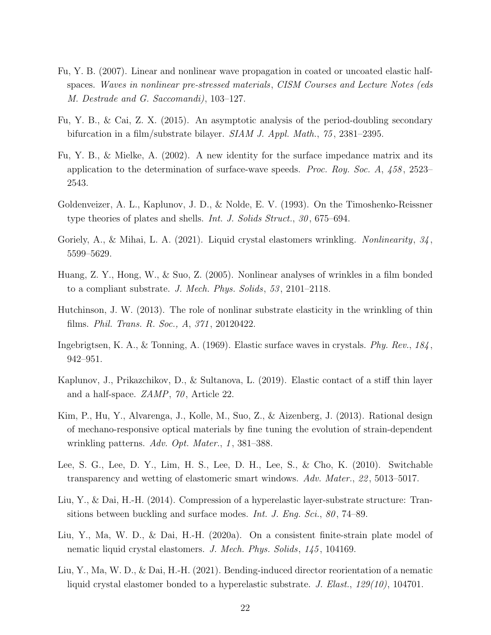- <span id="page-21-9"></span>Fu, Y. B. (2007). Linear and nonlinear wave propagation in coated or uncoated elastic halfspaces. Waves in nonlinear pre-stressed materials, CISM Courses and Lecture Notes (eds M. Destrade and G. Saccomandi), 103–127.
- <span id="page-21-2"></span>Fu, Y. B., & Cai, Z. X. (2015). An asymptotic analysis of the period-doubling secondary bifurcation in a film/substrate bilayer. *SIAM J. Appl. Math.*, 75, 2381–2395.
- <span id="page-21-11"></span>Fu, Y. B., & Mielke, A. (2002). A new identity for the surface impedance matrix and its application to the determination of surface-wave speeds. Proc. Roy. Soc. A,  $458$ , 2523– 2543.
- <span id="page-21-7"></span>Goldenveizer, A. L., Kaplunov, J. D., & Nolde, E. V. (1993). On the Timoshenko-Reissner type theories of plates and shells. *Int. J. Solids Struct.*, 30, 675–694.
- <span id="page-21-12"></span>Goriely, A., & Mihai, L. A. (2021). Liquid crystal elastomers wrinkling. Nonlinearity,  $34$ , 5599–5629.
- <span id="page-21-5"></span>Huang, Z. Y., Hong, W., & Suo, Z. (2005). Nonlinear analyses of wrinkles in a film bonded to a compliant substrate. J. Mech. Phys. Solids, 53 , 2101–2118.
- <span id="page-21-3"></span>Hutchinson, J. W. (2013). The role of nonlinar substrate elasticity in the wrinkling of thin films. Phil. Trans. R. Soc., A, 371 , 20120422.
- <span id="page-21-10"></span>Ingebrigtsen, K. A., & Tonning, A. (1969). Elastic surface waves in crystals. Phy. Rev., 184 , 942–951.
- <span id="page-21-6"></span>Kaplunov, J., Prikazchikov, D., & Sultanova, L. (2019). Elastic contact of a stiff thin layer and a half-space. ZAMP, 70 , Article 22.
- <span id="page-21-1"></span>Kim, P., Hu, Y., Alvarenga, J., Kolle, M., Suo, Z., & Aizenberg, J. (2013). Rational design of mechano-responsive optical materials by fine tuning the evolution of strain-dependent wrinkling patterns. Adv. Opt. Mater., 1, 381–388.
- <span id="page-21-0"></span>Lee, S. G., Lee, D. Y., Lim, H. S., Lee, D. H., Lee, S., & Cho, K. (2010). Switchable transparency and wetting of elastomeric smart windows. Adv. Mater., 22 , 5013–5017.
- <span id="page-21-4"></span>Liu, Y., & Dai, H.-H. (2014). Compression of a hyperelastic layer-substrate structure: Transitions between buckling and surface modes. *Int. J. Eng. Sci.*, 80, 74–89.
- <span id="page-21-8"></span>Liu, Y., Ma, W. D., & Dai, H.-H. (2020a). On a consistent finite-strain plate model of nematic liquid crystal elastomers. J. Mech. Phys. Solids, 145, 104169.
- <span id="page-21-13"></span>Liu, Y., Ma, W. D., & Dai, H.-H. (2021). Bending-induced director reorientation of a nematic liquid crystal elastomer bonded to a hyperelastic substrate. J. Elast., 129(10), 104701.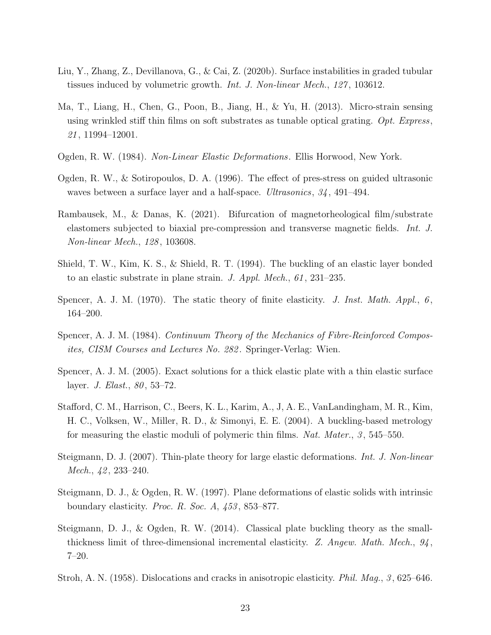- <span id="page-22-5"></span>Liu, Y., Zhang, Z., Devillanova, G., & Cai, Z. (2020b). Surface instabilities in graded tubular tissues induced by volumetric growth. *Int. J. Non-linear Mech.*, 127, 103612.
- <span id="page-22-0"></span>Ma, T., Liang, H., Chen, G., Poon, B., Jiang, H., & Yu, H. (2013). Micro-strain sensing using wrinkled stiff thin films on soft substrates as tunable optical grating.  $Opt.$  Express, 21 , 11994–12001.
- <span id="page-22-10"></span>Ogden, R. W. (1984). Non-Linear Elastic Deformations. Ellis Horwood, New York.
- <span id="page-22-3"></span>Ogden, R. W., & Sotiropoulos, D. A. (1996). The effect of pres-stress on guided ultrasonic waves between a surface layer and a half-space. Ultrasonics, 34 , 491–494.
- <span id="page-22-6"></span>Rambausek, M., & Danas, K. (2021). Bifurcation of magnetorheological film/substrate elastomers subjected to biaxial pre-compression and transverse magnetic fields. Int. J. Non-linear Mech., 128 , 103608.
- <span id="page-22-2"></span>Shield, T. W., Kim, K. S., & Shield, R. T. (1994). The buckling of an elastic layer bonded to an elastic substrate in plane strain. J. Appl. Mech., 61 , 231–235.
- <span id="page-22-9"></span>Spencer, A. J. M. (1970). The static theory of finite elasticity. J. Inst. Math. Appl.,  $6$ , 164–200.
- <span id="page-22-12"></span>Spencer, A. J. M. (1984). Continuum Theory of the Mechanics of Fibre-Reinforced Composites, CISM Courses and Lectures No. 282 . Springer-Verlag: Wien.
- <span id="page-22-13"></span>Spencer, A. J. M. (2005). Exact solutions for a thick elastic plate with a thin elastic surface layer. *J. Elast.*, 80, 53–72.
- <span id="page-22-1"></span>Stafford, C. M., Harrison, C., Beers, K. L., Karim, A., J, A. E., VanLandingham, M. R., Kim, H. C., Volksen, W., Miller, R. D., & Simonyi, E. E. (2004). A buckling-based metrology for measuring the elastic moduli of polymeric thin films. Nat. Mater., 3, 545–550.
- <span id="page-22-8"></span>Steigmann, D. J. (2007). Thin-plate theory for large elastic deformations. Int. J. Non-linear *Mech.*,  $42$ ,  $233-240$ .
- <span id="page-22-4"></span>Steigmann, D. J., & Ogden, R. W. (1997). Plane deformations of elastic solids with intrinsic boundary elasticity. Proc. R. Soc. A,  $453$ , 853–877.
- <span id="page-22-7"></span>Steigmann, D. J., & Ogden, R. W. (2014). Classical plate buckling theory as the smallthickness limit of three-dimensional incremental elasticity. Z. Angew. Math. Mech.,  $94$ , 7–20.
- <span id="page-22-11"></span>Stroh, A. N. (1958). Dislocations and cracks in anisotropic elasticity. Phil. Mag., 3 , 625–646.